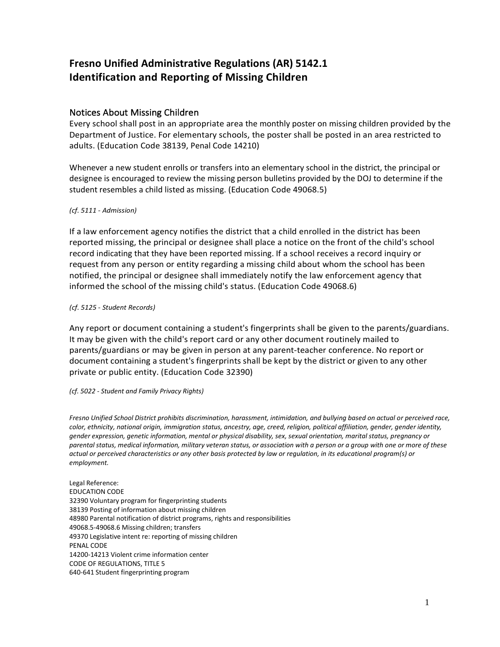# **Fresno Unified Administrative Regulations (AR) 5142.1 Identification and Reporting of Missing Children**

# Notices About Missing Children

Every school shall post in an appropriate area the monthly poster on missing children provided by the Department of Justice. For elementary schools, the poster shall be posted in an area restricted to adults. (Education Code 38139, Penal Code 14210)

Whenever a new student enrolls or transfers into an elementary school in the district, the principal or designee is encouraged to review the missing person bulletins provided by the DOJ to determine if the student resembles a child listed as missing. (Education Code 49068.5)

## *(cf. 5111 - Admission)*

If a law enforcement agency notifies the district that a child enrolled in the district has been reported missing, the principal or designee shall place a notice on the front of the child's school record indicating that they have been reported missing. If a school receives a record inquiry or request from any person or entity regarding a missing child about whom the school has been notified, the principal or designee shall immediately notify the law enforcement agency that informed the school of the missing child's status. (Education Code 49068.6)

### *(cf. 5125 - Student Records)*

Any report or document containing a student's fingerprints shall be given to the parents/guardians. It may be given with the child's report card or any other document routinely mailed to parents/guardians or may be given in person at any parent-teacher conference. No report or document containing a student's fingerprints shall be kept by the district or given to any other private or public entity. (Education Code 32390)

### *(cf. 5022 - Student and Family Privacy Rights)*

*Fresno Unified School District prohibits discrimination, harassment, intimidation, and bullying based on actual or perceived race, color, ethnicity, national origin, immigration status, ancestry, age, creed, religion, political affiliation, gender, gender identity, gender expression, genetic information, mental or physical disability, sex, sexual orientation, marital status, pregnancy or parental status, medical information, military veteran status, or association with a person or a group with one or more of these actual or perceived characteristics or any other basis protected by law or regulation, in its educational program(s) or employment.*

Legal Reference: EDUCATION CODE 32390 Voluntary program for fingerprinting students 38139 Posting of information about missing children 48980 Parental notification of district programs, rights and responsibilities 49068.5-49068.6 Missing children; transfers 49370 Legislative intent re: reporting of missing children PENAL CODE 14200-14213 Violent crime information center CODE OF REGULATIONS, TITLE 5 640-641 Student fingerprinting program